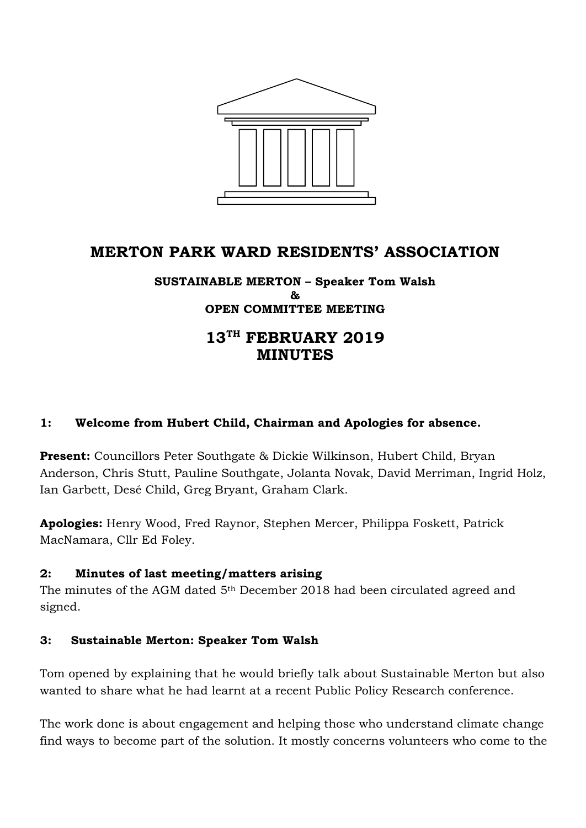

# **MERTON PARK WARD RESIDENTS' ASSOCIATION**

#### **SUSTAINABLE MERTON – Speaker Tom Walsh & OPEN COMMITTEE MEETING**

# **13TH FEBRUARY 2019 MINUTES**

## **1: Welcome from Hubert Child, Chairman and Apologies for absence.**

**Present:** Councillors Peter Southgate & Dickie Wilkinson, Hubert Child, Bryan Anderson, Chris Stutt, Pauline Southgate, Jolanta Novak, David Merriman, Ingrid Holz, Ian Garbett, Desé Child, Greg Bryant, Graham Clark.

**Apologies:** Henry Wood, Fred Raynor, Stephen Mercer, Philippa Foskett, Patrick MacNamara, Cllr Ed Foley.

## **2: Minutes of last meeting/matters arising**

The minutes of the AGM dated 5<sup>th</sup> December 2018 had been circulated agreed and signed.

## **3: Sustainable Merton: Speaker Tom Walsh**

Tom opened by explaining that he would briefly talk about Sustainable Merton but also wanted to share what he had learnt at a recent Public Policy Research conference.

The work done is about engagement and helping those who understand climate change find ways to become part of the solution. It mostly concerns volunteers who come to the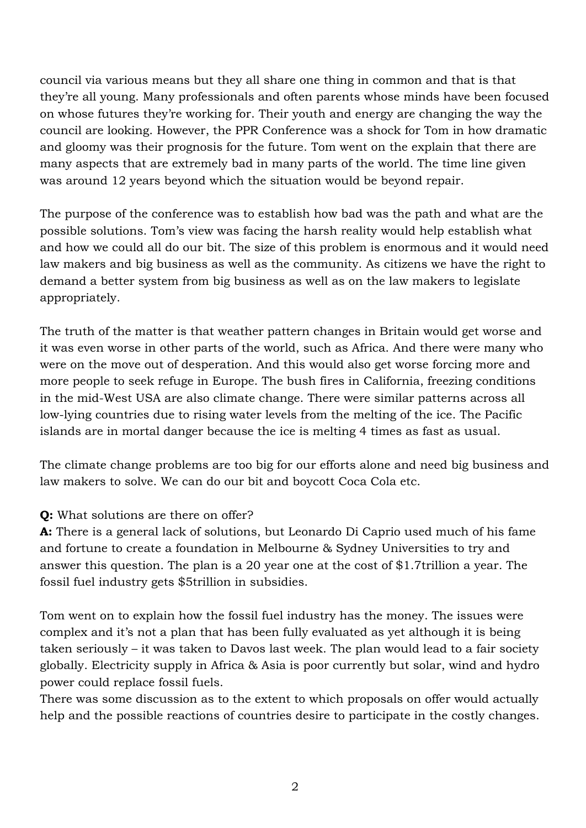council via various means but they all share one thing in common and that is that they're all young. Many professionals and often parents whose minds have been focused on whose futures they're working for. Their youth and energy are changing the way the council are looking. However, the PPR Conference was a shock for Tom in how dramatic and gloomy was their prognosis for the future. Tom went on the explain that there are many aspects that are extremely bad in many parts of the world. The time line given was around 12 years beyond which the situation would be beyond repair.

The purpose of the conference was to establish how bad was the path and what are the possible solutions. Tom's view was facing the harsh reality would help establish what and how we could all do our bit. The size of this problem is enormous and it would need law makers and big business as well as the community. As citizens we have the right to demand a better system from big business as well as on the law makers to legislate appropriately.

The truth of the matter is that weather pattern changes in Britain would get worse and it was even worse in other parts of the world, such as Africa. And there were many who were on the move out of desperation. And this would also get worse forcing more and more people to seek refuge in Europe. The bush fires in California, freezing conditions in the mid-West USA are also climate change. There were similar patterns across all low-lying countries due to rising water levels from the melting of the ice. The Pacific islands are in mortal danger because the ice is melting 4 times as fast as usual.

The climate change problems are too big for our efforts alone and need big business and law makers to solve. We can do our bit and boycott Coca Cola etc.

## **Q:** What solutions are there on offer?

**A:** There is a general lack of solutions, but Leonardo Di Caprio used much of his fame and fortune to create a foundation in Melbourne & Sydney Universities to try and answer this question. The plan is a 20 year one at the cost of \$1.7trillion a year. The fossil fuel industry gets \$5trillion in subsidies.

Tom went on to explain how the fossil fuel industry has the money. The issues were complex and it's not a plan that has been fully evaluated as yet although it is being taken seriously – it was taken to Davos last week. The plan would lead to a fair society globally. Electricity supply in Africa & Asia is poor currently but solar, wind and hydro power could replace fossil fuels.

There was some discussion as to the extent to which proposals on offer would actually help and the possible reactions of countries desire to participate in the costly changes.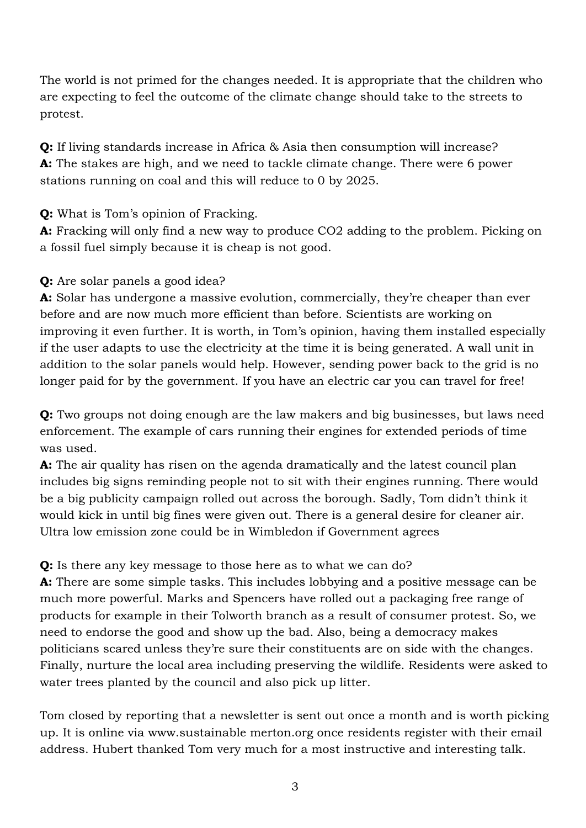The world is not primed for the changes needed. It is appropriate that the children who are expecting to feel the outcome of the climate change should take to the streets to protest.

**Q:** If living standards increase in Africa & Asia then consumption will increase? **A:** The stakes are high, and we need to tackle climate change. There were 6 power stations running on coal and this will reduce to 0 by 2025.

**Q:** What is Tom's opinion of Fracking.

**A:** Fracking will only find a new way to produce CO2 adding to the problem. Picking on a fossil fuel simply because it is cheap is not good.

**Q:** Are solar panels a good idea?

**A:** Solar has undergone a massive evolution, commercially, they're cheaper than ever before and are now much more efficient than before. Scientists are working on improving it even further. It is worth, in Tom's opinion, having them installed especially if the user adapts to use the electricity at the time it is being generated. A wall unit in addition to the solar panels would help. However, sending power back to the grid is no longer paid for by the government. If you have an electric car you can travel for free!

**Q:** Two groups not doing enough are the law makers and big businesses, but laws need enforcement. The example of cars running their engines for extended periods of time was used.

**A:** The air quality has risen on the agenda dramatically and the latest council plan includes big signs reminding people not to sit with their engines running. There would be a big publicity campaign rolled out across the borough. Sadly, Tom didn't think it would kick in until big fines were given out. There is a general desire for cleaner air. Ultra low emission zone could be in Wimbledon if Government agrees

# **Q:** Is there any key message to those here as to what we can do?

**A:** There are some simple tasks. This includes lobbying and a positive message can be much more powerful. Marks and Spencers have rolled out a packaging free range of products for example in their Tolworth branch as a result of consumer protest. So, we need to endorse the good and show up the bad. Also, being a democracy makes politicians scared unless they're sure their constituents are on side with the changes. Finally, nurture the local area including preserving the wildlife. Residents were asked to water trees planted by the council and also pick up litter.

Tom closed by reporting that a newsletter is sent out once a month and is worth picking up. It is online via www.sustainable merton.org once residents register with their email address. Hubert thanked Tom very much for a most instructive and interesting talk.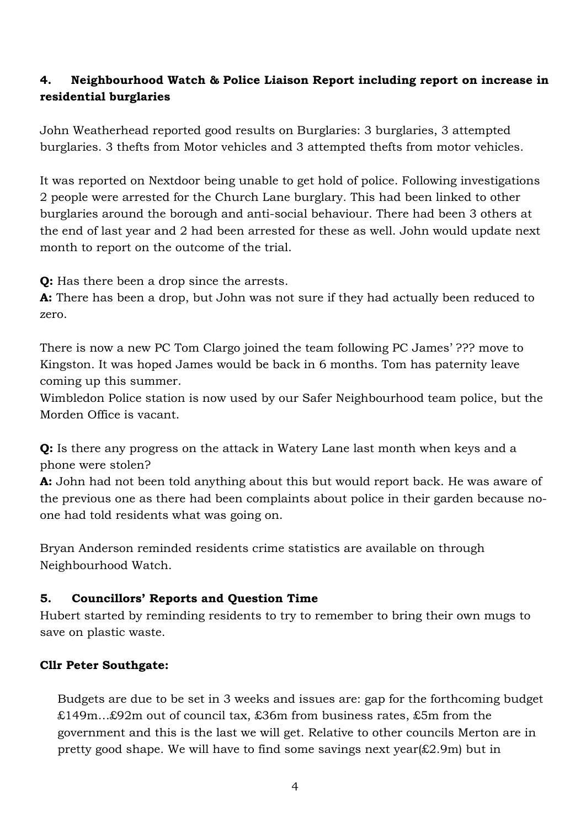## **4. Neighbourhood Watch & Police Liaison Report including report on increase in residential burglaries**

John Weatherhead reported good results on Burglaries: 3 burglaries, 3 attempted burglaries. 3 thefts from Motor vehicles and 3 attempted thefts from motor vehicles.

It was reported on Nextdoor being unable to get hold of police. Following investigations 2 people were arrested for the Church Lane burglary. This had been linked to other burglaries around the borough and anti-social behaviour. There had been 3 others at the end of last year and 2 had been arrested for these as well. John would update next month to report on the outcome of the trial.

**Q:** Has there been a drop since the arrests.

**A:** There has been a drop, but John was not sure if they had actually been reduced to zero.

There is now a new PC Tom Clargo joined the team following PC James' ??? move to Kingston. It was hoped James would be back in 6 months. Tom has paternity leave coming up this summer.

Wimbledon Police station is now used by our Safer Neighbourhood team police, but the Morden Office is vacant.

**Q:** Is there any progress on the attack in Watery Lane last month when keys and a phone were stolen?

**A:** John had not been told anything about this but would report back. He was aware of the previous one as there had been complaints about police in their garden because noone had told residents what was going on.

Bryan Anderson reminded residents crime statistics are available on through Neighbourhood Watch.

## **5. Councillors' Reports and Question Time**

Hubert started by reminding residents to try to remember to bring their own mugs to save on plastic waste.

## **Cllr Peter Southgate:**

Budgets are due to be set in 3 weeks and issues are: gap for the forthcoming budget £149m…£92m out of council tax, £36m from business rates, £5m from the government and this is the last we will get. Relative to other councils Merton are in pretty good shape. We will have to find some savings next year(£2.9m) but in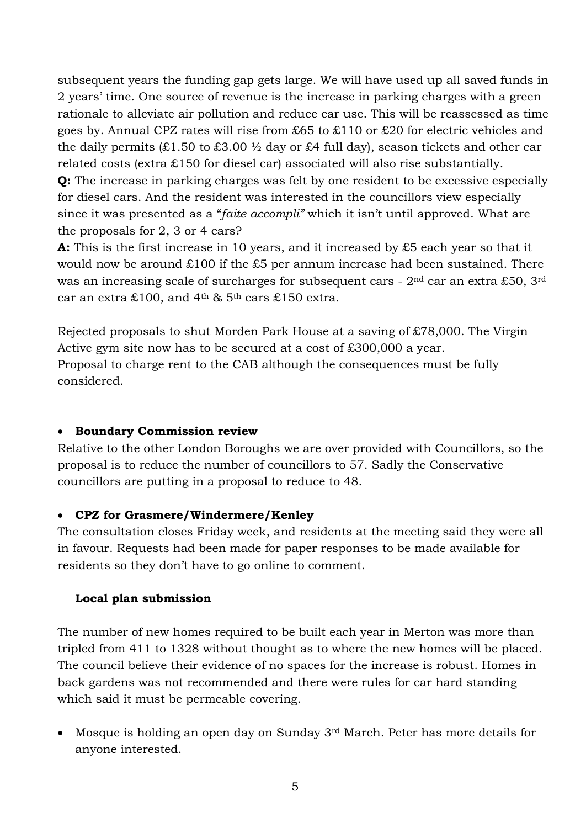subsequent years the funding gap gets large. We will have used up all saved funds in 2 years' time. One source of revenue is the increase in parking charges with a green rationale to alleviate air pollution and reduce car use. This will be reassessed as time goes by. Annual CPZ rates will rise from £65 to £110 or £20 for electric vehicles and the daily permits  $(£1.50 \text{ to } £3.00 \frac{1}{2}$  day or £4 full day), season tickets and other car related costs (extra £150 for diesel car) associated will also rise substantially. **Q:** The increase in parking charges was felt by one resident to be excessive especially for diesel cars. And the resident was interested in the councillors view especially since it was presented as a "*faite accompli"* which it isn't until approved. What are the proposals for 2, 3 or 4 cars?

**A:** This is the first increase in 10 years, and it increased by £5 each year so that it would now be around £100 if the £5 per annum increase had been sustained. There was an increasing scale of surcharges for subsequent cars - 2<sup>nd</sup> car an extra £50, 3<sup>rd</sup> car an extra £100, and  $4<sup>th</sup>$  &  $5<sup>th</sup>$  cars £150 extra.

Rejected proposals to shut Morden Park House at a saving of £78,000. The Virgin Active gym site now has to be secured at a cost of £300,000 a year. Proposal to charge rent to the CAB although the consequences must be fully considered.

#### **Boundary Commission review**

Relative to the other London Boroughs we are over provided with Councillors, so the proposal is to reduce the number of councillors to 57. Sadly the Conservative councillors are putting in a proposal to reduce to 48.

#### **CPZ for Grasmere/Windermere/Kenley**

The consultation closes Friday week, and residents at the meeting said they were all in favour. Requests had been made for paper responses to be made available for residents so they don't have to go online to comment.

#### **Local plan submission**

The number of new homes required to be built each year in Merton was more than tripled from 411 to 1328 without thought as to where the new homes will be placed. The council believe their evidence of no spaces for the increase is robust. Homes in back gardens was not recommended and there were rules for car hard standing which said it must be permeable covering.

 Mosque is holding an open day on Sunday 3rd March. Peter has more details for anyone interested.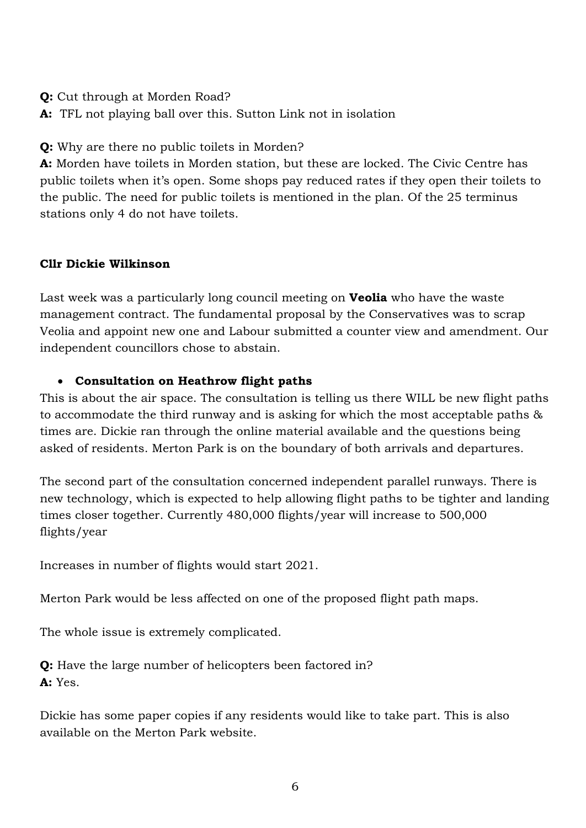**Q:** Cut through at Morden Road?

**A:** TFL not playing ball over this. Sutton Link not in isolation

**Q:** Why are there no public toilets in Morden?

**A:** Morden have toilets in Morden station, but these are locked. The Civic Centre has public toilets when it's open. Some shops pay reduced rates if they open their toilets to the public. The need for public toilets is mentioned in the plan. Of the 25 terminus stations only 4 do not have toilets.

## **Cllr Dickie Wilkinson**

Last week was a particularly long council meeting on **Veolia** who have the waste management contract. The fundamental proposal by the Conservatives was to scrap Veolia and appoint new one and Labour submitted a counter view and amendment. Our independent councillors chose to abstain.

## **Consultation on Heathrow flight paths**

This is about the air space. The consultation is telling us there WILL be new flight paths to accommodate the third runway and is asking for which the most acceptable paths & times are. Dickie ran through the online material available and the questions being asked of residents. Merton Park is on the boundary of both arrivals and departures.

The second part of the consultation concerned independent parallel runways. There is new technology, which is expected to help allowing flight paths to be tighter and landing times closer together. Currently 480,000 flights/year will increase to 500,000 flights/year

Increases in number of flights would start 2021.

Merton Park would be less affected on one of the proposed flight path maps.

The whole issue is extremely complicated.

**Q:** Have the large number of helicopters been factored in? **A:** Yes.

Dickie has some paper copies if any residents would like to take part. This is also available on the Merton Park website.